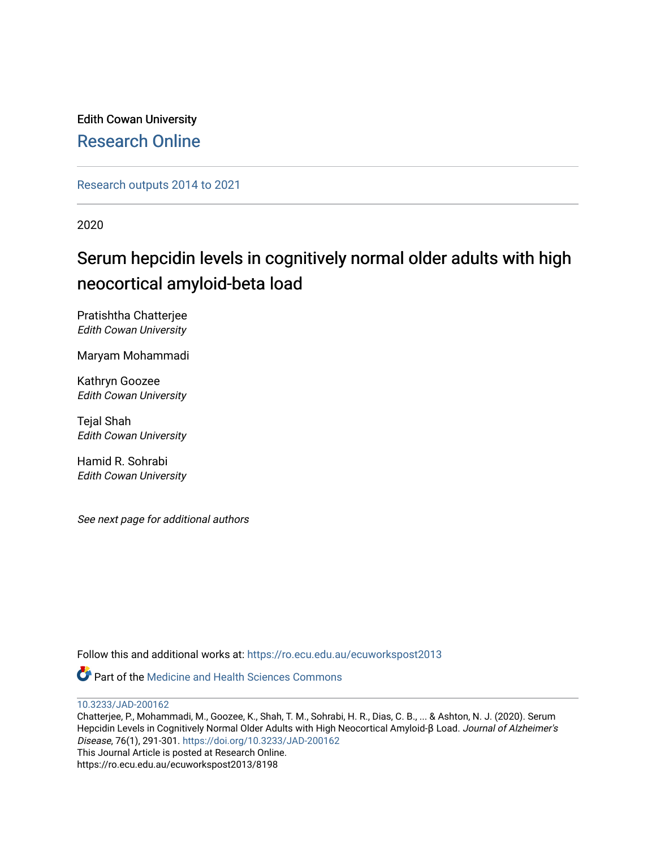Edith Cowan University [Research Online](https://ro.ecu.edu.au/) 

[Research outputs 2014 to 2021](https://ro.ecu.edu.au/ecuworkspost2013) 

2020

# Serum hepcidin levels in cognitively normal older adults with high neocortical amyloid-beta load

Pratishtha Chatterjee Edith Cowan University

Maryam Mohammadi

Kathryn Goozee Edith Cowan University

Tejal Shah Edith Cowan University

Hamid R. Sohrabi Edith Cowan University

See next page for additional authors

Follow this and additional works at: [https://ro.ecu.edu.au/ecuworkspost2013](https://ro.ecu.edu.au/ecuworkspost2013?utm_source=ro.ecu.edu.au%2Fecuworkspost2013%2F8198&utm_medium=PDF&utm_campaign=PDFCoverPages) 

**P** Part of the Medicine and Health Sciences Commons

[10.3233/JAD-200162](http://dx.doi.org/10.3233/JAD-200162) 

Chatterjee, P., Mohammadi, M., Goozee, K., Shah, T. M., Sohrabi, H. R., Dias, C. B., ... & Ashton, N. J. (2020). Serum Hepcidin Levels in Cognitively Normal Older Adults with High Neocortical Amyloid-β Load. Journal of Alzheimer's Disease, 76(1), 291-301. <https://doi.org/10.3233/JAD-200162> This Journal Article is posted at Research Online. https://ro.ecu.edu.au/ecuworkspost2013/8198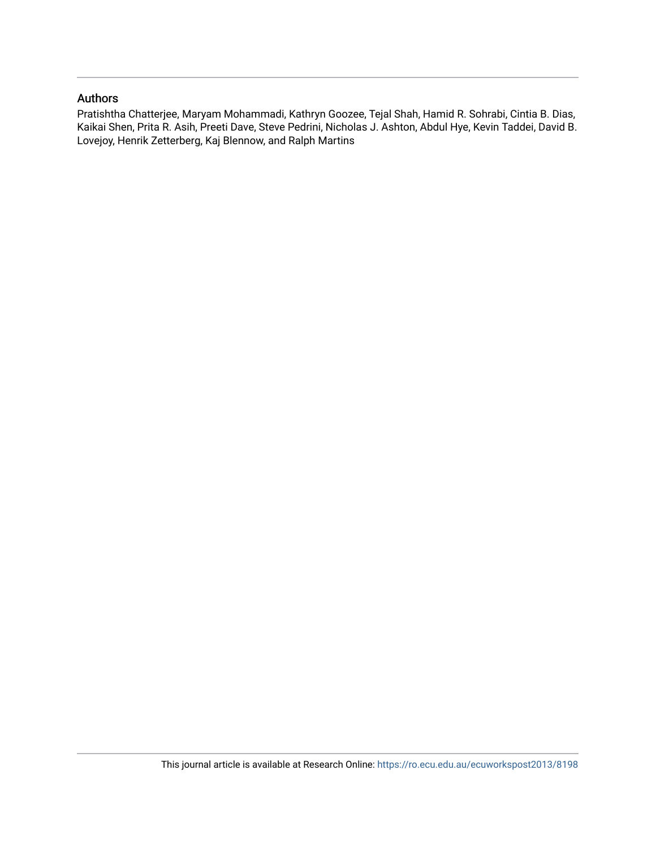# Authors

Pratishtha Chatterjee, Maryam Mohammadi, Kathryn Goozee, Tejal Shah, Hamid R. Sohrabi, Cintia B. Dias, Kaikai Shen, Prita R. Asih, Preeti Dave, Steve Pedrini, Nicholas J. Ashton, Abdul Hye, Kevin Taddei, David B. Lovejoy, Henrik Zetterberg, Kaj Blennow, and Ralph Martins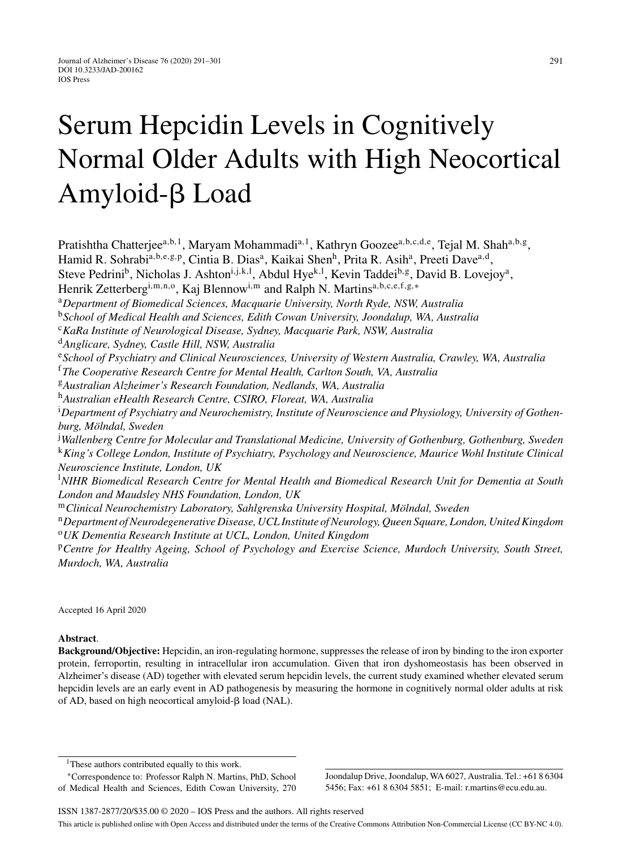# Serum Hepcidin Levels in Cognitively Normal Older Adults with High Neocortical Amyloid-<sub>B</sub> Load

Pratishtha Chatterjee<sup>a,b,1</sup>, Maryam Mohammadi<sup>a,1</sup>, Kathryn Goozee<sup>a,b,c,d,e</sup>, Tejal M. Shah<sup>a,b,g</sup>, Hamid R. Sohrabi<sup>a,b,e,g,p</sup>, Cintia B. Dias<sup>a</sup>, Kaikai Shen<sup>h</sup>, Prita R. Asih<sup>a</sup>, Preeti Dave<sup>a,d</sup>, Steve Pedrini<sup>b</sup>, Nicholas J. Ashton<sup>i, j, k, 1</sup>, Abdul Hye<sup>k, 1</sup>, Kevin Taddei<sup>b, g</sup>, David B. Lovejoy<sup>a</sup>, Henrik Zetterberg<sup>i,m,n,o</sup>, Kaj Blennow<sup>i,m</sup> and Ralph N. Martins<sup>a,b,c,e,f,g,∗</sup> <sup>a</sup>*Department of Biomedical Sciences, Macquarie University, North Ryde, NSW, Australia* <sup>b</sup>*School of Medical Health and Sciences, Edith Cowan University, Joondalup, WA, Australia* <sup>c</sup>*KaRa Institute of Neurological Disease, Sydney, Macquarie Park, NSW, Australia* <sup>d</sup>*Anglicare, Sydney, Castle Hill, NSW, Australia* <sup>e</sup>*School of Psychiatry and Clinical Neurosciences, University of Western Australia, Crawley, WA, Australia* <sup>f</sup>*The Cooperative Research Centre for Mental Health, Carlton South, VA, Australia* <sup>g</sup>*Australian Alzheimer's Research Foundation, Nedlands, WA, Australia* <sup>h</sup>*Australian eHealth Research Centre, CSIRO, Floreat, WA, Australia* i *Department of Psychiatry and Neurochemistry, Institute of Neuroscience and Physiology, University of Gothen* $burg, M\ddot{o}lndal, Sweden$ j *Wallenberg Centre for Molecular and Translational Medicine, University of Gothenburg, Gothenburg, Sweden* <sup>k</sup>*King's College London, Institute of Psychiatry, Psychology and Neuroscience, Maurice Wohl Institute Clinical Neuroscience Institute, London, UK* l *NIHR Biomedical Research Centre for Mental Health and Biomedical Research Unit for Dementia at South London and Maudsley NHS Foundation, London, UK* <sup>m</sup>Clinical Neurochemistry Laboratory, Sahlgrenska University Hospital, Mölndal, Sweden <sup>n</sup>*Department of Neurodegenerative Disease, UCL Institute of Neurology, Queen Square, London, United Kingdom* <sup>o</sup>*UK Dementia Research Institute at UCL, London, United Kingdom* <sup>p</sup>*Centre for Healthy Ageing, School of Psychology and Exercise Science, Murdoch University, South Street, Murdoch, WA, Australia*

Accepted 16 April 2020

#### **Abstract**.

**Background/Objective:** Hepcidin, an iron-regulating hormone, suppresses the release of iron by binding to the iron exporter protein, ferroportin, resulting in intracellular iron accumulation. Given that iron dyshomeostasis has been observed in Alzheimer's disease (AD) together with elevated serum hepcidin levels, the current study examined whether elevated serum hepcidin levels are an early event in AD pathogenesis by measuring the hormone in cognitively normal older adults at risk of AD, based on high neocortical amyloid- $\beta$  load (NAL).

∗Correspondence to: Professor Ralph N. Martins, PhD, School of Medical Health and Sciences, Edith Cowan University, 270 Joondalup Drive, Joondalup, WA 6027, Australia. Tel.: +61 8 6304 5456; Fax: +61 8 6304 5851; E-mail: [r.martins@ecu.edu.au.](mailto:r.martins@ecu.edu.au)

<sup>&</sup>lt;sup>1</sup>These authors contributed equally to this work.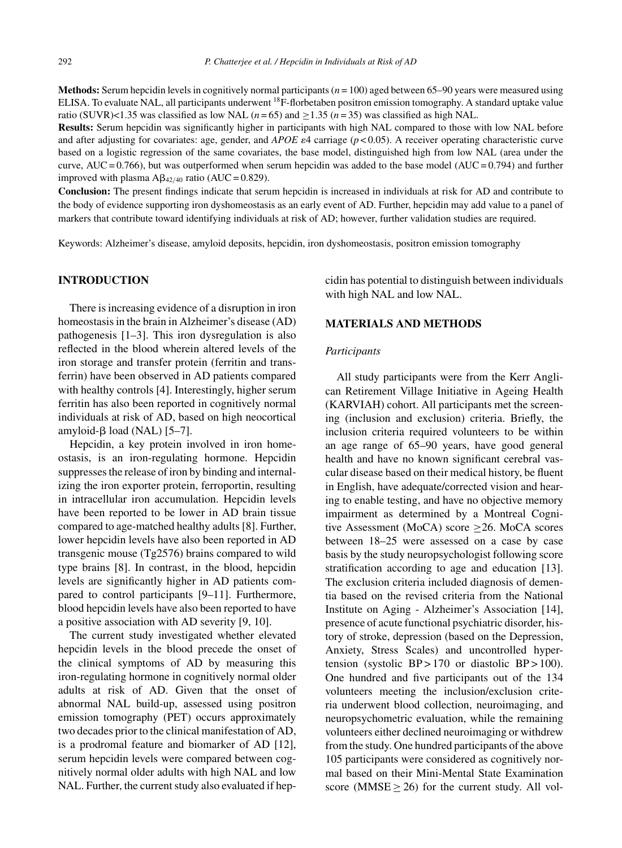**Methods:** Serum hepcidin levels in cognitively normal participants (*n* = 100) aged between 65–90 years were measured using ELISA. To evaluate NAL, all participants underwent 18F-florbetaben positron emission tomography. A standard uptake value ratio (SUVR)<1.35 was classified as low NAL  $(n=65)$  and  $>1.35$   $(n=35)$  was classified as high NAL.

**Results:** Serum hepcidin was significantly higher in participants with high NAL compared to those with low NAL before and after adjusting for covariates: age, gender, and *APOE*  $\varepsilon$ 4 carriage ( $p$  < 0.05). A receiver operating characteristic curve based on a logistic regression of the same covariates, the base model, distinguished high from low NAL (area under the curve, AUC =  $0.766$ ), but was outperformed when serum hepcidin was added to the base model (AUC =  $0.794$ ) and further improved with plasma  $\text{A}\beta_{42/40}$  ratio (AUC = 0.829).

**Conclusion:** The present findings indicate that serum hepcidin is increased in individuals at risk for AD and contribute to the body of evidence supporting iron dyshomeostasis as an early event of AD. Further, hepcidin may add value to a panel of markers that contribute toward identifying individuals at risk of AD; however, further validation studies are required.

Keywords: Alzheimer's disease, amyloid deposits, hepcidin, iron dyshomeostasis, positron emission tomography

#### **INTRODUCTION**

There is increasing evidence of a disruption in iron homeostasis in the brain in Alzheimer's disease (AD) pathogenesis [1–3]. This iron dysregulation is also reflected in the blood wherein altered levels of the iron storage and transfer protein (ferritin and transferrin) have been observed in AD patients compared with healthy controls [4]. Interestingly, higher serum ferritin has also been reported in cognitively normal individuals at risk of AD, based on high neocortical amyloid- $\beta$  load (NAL) [5-7].

Hepcidin, a key protein involved in iron homeostasis, is an iron-regulating hormone. Hepcidin suppresses the release of iron by binding and internalizing the iron exporter protein, ferroportin, resulting in intracellular iron accumulation. Hepcidin levels have been reported to be lower in AD brain tissue compared to age-matched healthy adults [8]. Further, lower hepcidin levels have also been reported in AD transgenic mouse (Tg2576) brains compared to wild type brains [8]. In contrast, in the blood, hepcidin levels are significantly higher in AD patients compared to control participants [9–11]. Furthermore, blood hepcidin levels have also been reported to have a positive association with AD severity [9, 10].

The current study investigated whether elevated hepcidin levels in the blood precede the onset of the clinical symptoms of AD by measuring this iron-regulating hormone in cognitively normal older adults at risk of AD. Given that the onset of abnormal NAL build-up, assessed using positron emission tomography (PET) occurs approximately two decades prior to the clinical manifestation of AD, is a prodromal feature and biomarker of AD [12], serum hepcidin levels were compared between cognitively normal older adults with high NAL and low NAL. Further, the current study also evaluated if hepcidin has potential to distinguish between individuals with high NAL and low NAL.

#### **MATERIALS AND METHODS**

#### *Participants*

All study participants were from the Kerr Anglican Retirement Village Initiative in Ageing Health (KARVIAH) cohort. All participants met the screening (inclusion and exclusion) criteria. Briefly, the inclusion criteria required volunteers to be within an age range of 65–90 years, have good general health and have no known significant cerebral vascular disease based on their medical history, be fluent in English, have adequate/corrected vision and hearing to enable testing, and have no objective memory impairment as determined by a Montreal Cognitive Assessment (MoCA) score ≥26. MoCA scores between 18–25 were assessed on a case by case basis by the study neuropsychologist following score stratification according to age and education [13]. The exclusion criteria included diagnosis of dementia based on the revised criteria from the National Institute on Aging - Alzheimer's Association [14], presence of acute functional psychiatric disorder, history of stroke, depression (based on the Depression, Anxiety, Stress Scales) and uncontrolled hypertension (systolic  $BP > 170$  or diastolic  $BP > 100$ ). One hundred and five participants out of the 134 volunteers meeting the inclusion/exclusion criteria underwent blood collection, neuroimaging, and neuropsychometric evaluation, while the remaining volunteers either declined neuroimaging or withdrew from the study. One hundred participants of the above 105 participants were considered as cognitively normal based on their Mini-Mental State Examination score (MMSE  $\geq$  26) for the current study. All vol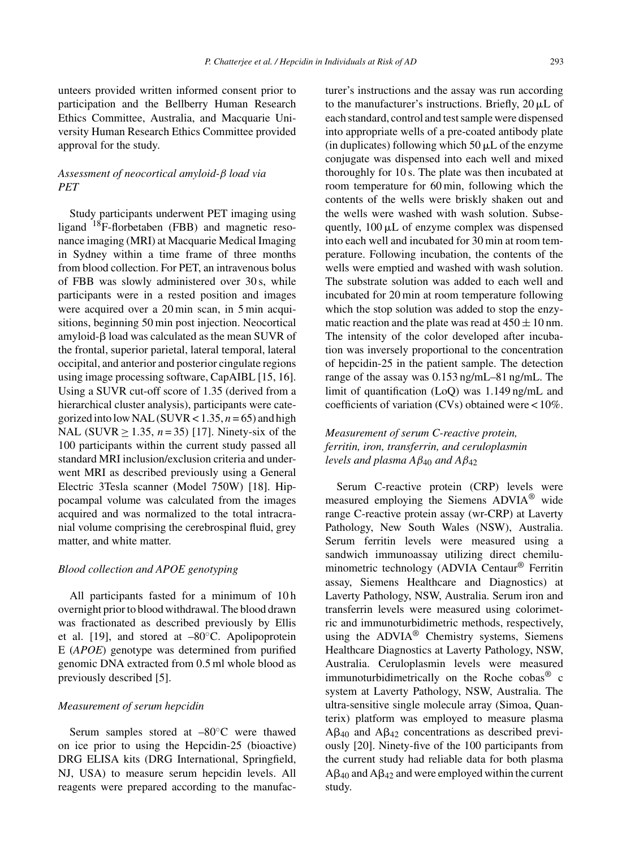unteers provided written informed consent prior to participation and the Bellberry Human Research Ethics Committee, Australia, and Macquarie University Human Research Ethics Committee provided approval for the study.

## *Assessment of neocortical amyloid-*β *load via PET*

Study participants underwent PET imaging using ligand 18F-florbetaben (FBB) and magnetic resonance imaging (MRI) at Macquarie Medical Imaging in Sydney within a time frame of three months from blood collection. For PET, an intravenous bolus of FBB was slowly administered over 30 s, while participants were in a rested position and images were acquired over a 20 min scan, in 5 min acquisitions, beginning 50 min post injection. Neocortical amyloid- $\beta$  load was calculated as the mean SUVR of the frontal, superior parietal, lateral temporal, lateral occipital, and anterior and posterior cingulate regions using image processing software, CapAIBL [15, 16]. Using a SUVR cut-off score of 1.35 (derived from a hierarchical cluster analysis), participants were categorized into low NAL (SUVR  $< 1.35$ ,  $n = 65$ ) and high NAL (SUVR  $\geq$  1.35, *n* = 35) [17]. Ninety-six of the 100 participants within the current study passed all standard MRI inclusion/exclusion criteria and underwent MRI as described previously using a General Electric 3Tesla scanner (Model 750W) [18]. Hippocampal volume was calculated from the images acquired and was normalized to the total intracranial volume comprising the cerebrospinal fluid, grey matter, and white matter.

#### *Blood collection and APOE genotyping*

All participants fasted for a minimum of 10h overnight prior to blood withdrawal. The blood drawn was fractionated as described previously by Ellis et al. [19], and stored at  $-80^{\circ}$ C. Apolipoprotein E (*APOE*) genotype was determined from purified genomic DNA extracted from 0.5 ml whole blood as previously described [5].

#### *Measurement of serum hepcidin*

Serum samples stored at –80◦C were thawed on ice prior to using the Hepcidin-25 (bioactive) DRG ELISA kits (DRG International, Springfield, NJ, USA) to measure serum hepcidin levels. All reagents were prepared according to the manufacturer's instructions and the assay was run according to the manufacturer's instructions. Briefly,  $20 \mu L$  of each standard, control and test sample were dispensed into appropriate wells of a pre-coated antibody plate (in duplicates) following which  $50 \mu L$  of the enzyme conjugate was dispensed into each well and mixed thoroughly for 10 s. The plate was then incubated at room temperature for 60 min, following which the contents of the wells were briskly shaken out and the wells were washed with wash solution. Subsequently,  $100 \mu L$  of enzyme complex was dispensed into each well and incubated for 30 min at room temperature. Following incubation, the contents of the wells were emptied and washed with wash solution. The substrate solution was added to each well and incubated for 20 min at room temperature following which the stop solution was added to stop the enzymatic reaction and the plate was read at  $450 \pm 10$  nm. The intensity of the color developed after incubation was inversely proportional to the concentration of hepcidin-25 in the patient sample. The detection range of the assay was 0.153 ng/mL–81 ng/mL. The limit of quantification (LoQ) was 1.149 ng/mL and coefficients of variation (CVs) obtained were < 10%.

## *Measurement of serum C-reactive protein, ferritin, iron, transferrin, and ceruloplasmin levels and plasma A* $\beta_{40}$  *and A* $\beta_{42}$

Serum C-reactive protein (CRP) levels were measured employing the Siemens ADVIA® wide range C-reactive protein assay (wr-CRP) at Laverty Pathology, New South Wales (NSW), Australia. Serum ferritin levels were measured using a sandwich immunoassay utilizing direct chemiluminometric technology (ADVIA Centaur® Ferritin assay, Siemens Healthcare and Diagnostics) at Laverty Pathology, NSW, Australia. Serum iron and transferrin levels were measured using colorimetric and immunoturbidimetric methods, respectively, using the ADVIA<sup>®</sup> Chemistry systems, Siemens Healthcare Diagnostics at Laverty Pathology, NSW, Australia. Ceruloplasmin levels were measured immunoturbidimetrically on the Roche cobas® c system at Laverty Pathology, NSW, Australia. The ultra-sensitive single molecule array (Simoa, Quanterix) platform was employed to measure plasma  $A\beta_{40}$  and  $A\beta_{42}$  concentrations as described previously [20]. Ninety-five of the 100 participants from the current study had reliable data for both plasma  $A\beta_{40}$  and  $A\beta_{42}$  and were employed within the current study.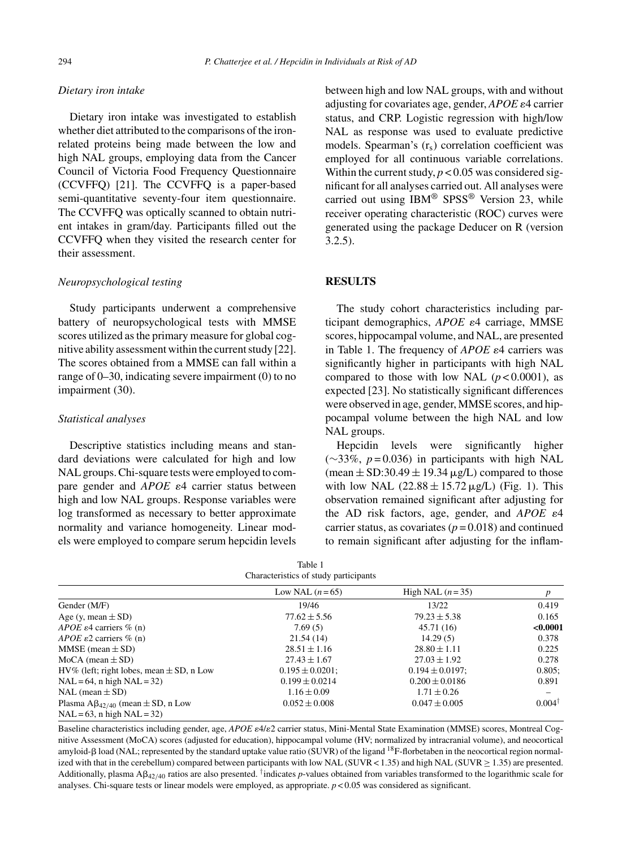#### *Dietary iron intake*

Dietary iron intake was investigated to establish whether diet attributed to the comparisons of the ironrelated proteins being made between the low and high NAL groups, employing data from the Cancer Council of Victoria Food Frequency Questionnaire (CCVFFQ) [21]. The CCVFFQ is a paper-based semi-quantitative seventy-four item questionnaire. The CCVFFQ was optically scanned to obtain nutrient intakes in gram/day. Participants filled out the CCVFFQ when they visited the research center for their assessment.

#### *Neuropsychological testing*

Study participants underwent a comprehensive battery of neuropsychological tests with MMSE scores utilized as the primary measure for global cognitive ability assessment within the current study [22]. The scores obtained from a MMSE can fall within a range of 0–30, indicating severe impairment (0) to no impairment (30).

#### *Statistical analyses*

Descriptive statistics including means and standard deviations were calculated for high and low NAL groups. Chi-square tests were employed to compare gender and  $APOE$   $\varepsilon$ <sup>4</sup> carrier status between high and low NAL groups. Response variables were log transformed as necessary to better approximate normality and variance homogeneity. Linear models were employed to compare serum hepcidin levels

between high and low NAL groups, with and without adjusting for covariates age, gender,  $APOE \epsilon 4$  carrier status, and CRP. Logistic regression with high/low NAL as response was used to evaluate predictive models. Spearman's  $(r_s)$  correlation coefficient was employed for all continuous variable correlations. Within the current study,  $p < 0.05$  was considered significant for all analyses carried out. All analyses were carried out using  $IBM^{\circledR}$  SPSS<sup>®</sup> Version 23, while receiver operating characteristic (ROC) curves were generated using the package Deducer on R (version 3.2.5).

#### **RESULTS**

The study cohort characteristics including participant demographics, *APOE*  $\varepsilon$ 4 carriage, MMSE scores, hippocampal volume, and NAL, are presented in Table 1. The frequency of *APOE*  $\varepsilon$ 4 carriers was significantly higher in participants with high NAL compared to those with low NAL  $(p < 0.0001)$ , as expected [23]. No statistically significant differences were observed in age, gender, MMSE scores, and hippocampal volume between the high NAL and low NAL groups.

Hepcidin levels were significantly higher (∼33%, *p* = 0.036) in participants with high NAL (mean  $\pm$  SD:30.49  $\pm$  19.34  $\mu$ g/L) compared to those with low NAL  $(22.88 \pm 15.72 \,\mu g/L)$  (Fig. 1). This observation remained significant after adjusting for the AD risk factors, age, gender, and  $APOE \varepsilon 4$ carrier status, as covariates  $(p=0.018)$  and continued to remain significant after adjusting for the inflam-

| rabie i<br>Characteristics of study participants                                |                      |                      |                   |  |  |  |
|---------------------------------------------------------------------------------|----------------------|----------------------|-------------------|--|--|--|
|                                                                                 | Low NAL $(n=65)$     | High NAL $(n=35)$    | p                 |  |  |  |
| Gender (M/F)                                                                    | 19/46                | 13/22                | 0.419             |  |  |  |
| Age (y, mean $\pm$ SD)                                                          | $77.62 \pm 5.56$     | $79.23 \pm 5.38$     | 0.165             |  |  |  |
| APOE $\varepsilon$ 4 carriers % (n)                                             | 7.69(5)              | 45.71 (16)           | < 0.0001          |  |  |  |
| APOE $\varepsilon$ 2 carriers % (n)                                             | 21.54(14)            | 14.29(5)             | 0.378             |  |  |  |
| MMSE (mean $\pm$ SD)                                                            | $28.51 \pm 1.16$     | $28.80 \pm 1.11$     | 0.225             |  |  |  |
| MoCA (mean ± SD)                                                                | $27.43 \pm 1.67$     | $27.03 \pm 1.92$     | 0.278             |  |  |  |
| $HV\%$ (left; right lobes, mean $\pm SD$ , n Low                                | $0.195 \pm 0.0201$ : | $0.194 \pm 0.0197$ : | 0.805;            |  |  |  |
| $NAL = 64$ , n high $NAL = 32$ )                                                | $0.199 \pm 0.0214$   | $0.200 \pm 0.0186$   | 0.891             |  |  |  |
| NAL (mean $\pm$ SD)                                                             | $1.16 \pm 0.09$      | $1.71 \pm 0.26$      |                   |  |  |  |
| Plasma $A\beta_{42/40}$ (mean $\pm$ SD, n Low<br>$NAL = 63$ , n high $NAL = 32$ | $0.052 \pm 0.008$    | $0.047 \pm 0.005$    | $0.004^{\dagger}$ |  |  |  |

 $T = 1.1 - 1$ 

Baseline characteristics including gender, age, *APOE*  $\epsilon$ 4/ $\epsilon$ 2 carrier status, Mini-Mental State Examination (MMSE) scores, Montreal Cognitive Assessment (MoCA) scores (adjusted for education), hippocampal volume (HV; normalized by intracranial volume), and neocortical amyloid- $\beta$  load (NAL; represented by the standard uptake value ratio (SUVR) of the ligand <sup>18</sup>F-florbetaben in the neocortical region normalized with that in the cerebellum) compared between participants with low NAL (SUVR < 1.35) and high NAL (SUVR  $\geq$  1.35) are presented. Additionally, plasma  $A\beta_{42/40}$  ratios are also presented. <sup>†</sup>indicates *p*-values obtained from variables transformed to the logarithmic scale for analyses. Chi-square tests or linear models were employed, as appropriate. *p* < 0.05 was considered as significant.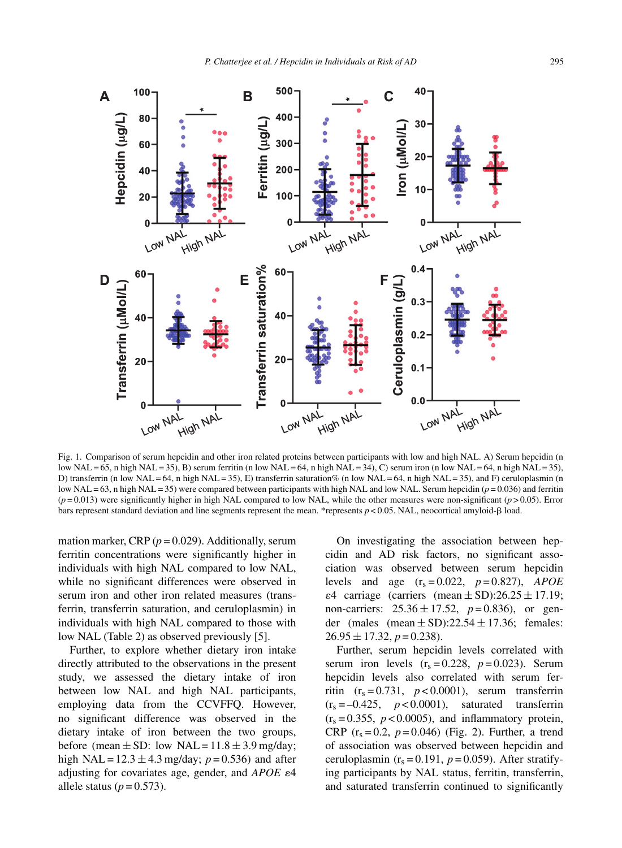

Fig. 1. Comparison of serum hepcidin and other iron related proteins between participants with low and high NAL. A) Serum hepcidin (n low NAL = 65, n high NAL = 35), B) serum ferritin (n low NAL = 64, n high NAL = 34), C) serum iron (n low NAL = 64, n high NAL = 35), D) transferrin (n low NAL = 64, n high NAL = 35), E) transferrin saturation% (n low NAL = 64, n high NAL = 35), and F) ceruloplasmin (n low NAL = 63, n high NAL = 35) were compared between participants with high NAL and low NAL. Serum hepcidin ( $p = 0.036$ ) and ferritin  $(p=0.013)$  were significantly higher in high NAL compared to low NAL, while the other measures were non-significant  $(p>0.05)$ . Error bars represent standard deviation and line segments represent the mean. \*represents  $p < 0.05$ . NAL, neocortical amyloid- $\beta$  load.

mation marker, CRP  $(p = 0.029)$ . Additionally, serum ferritin concentrations were significantly higher in individuals with high NAL compared to low NAL, while no significant differences were observed in serum iron and other iron related measures (transferrin, transferrin saturation, and ceruloplasmin) in individuals with high NAL compared to those with low NAL (Table 2) as observed previously [5].

Further, to explore whether dietary iron intake directly attributed to the observations in the present study, we assessed the dietary intake of iron between low NAL and high NAL participants, employing data from the CCVFFQ. However, no significant difference was observed in the dietary intake of iron between the two groups, before (mean  $\pm$  SD: low NAL = 11.8  $\pm$  3.9 mg/day; high NAL =  $12.3 \pm 4.3$  mg/day;  $p = 0.536$ ) and after adjusting for covariates age, gender, and  $APOE$   $\varepsilon$ 4 allele status  $(p=0.573)$ .

On investigating the association between hepcidin and AD risk factors, no significant association was observed between serum hepcidin levels and age  $(r_s = 0.022, p = 0.827)$ , *APOE*  $\epsilon$ 4 carriage (carriers (mean  $\pm$  SD):26.25  $\pm$  17.19; non-carriers:  $25.36 \pm 17.52$ ,  $p=0.836$ ), or gender (males (mean  $\pm$  SD):22.54  $\pm$  17.36; females:  $26.95 \pm 17.32, p = 0.238$ .

Further, serum hepcidin levels correlated with serum iron levels  $(r_s = 0.228, p = 0.023)$ . Serum hepcidin levels also correlated with serum ferritin  $(r_s = 0.731, p < 0.0001)$ , serum transferrin  $(r<sub>s</sub> = -0.425, p < 0.0001)$ , saturated transferrin  $(r<sub>s</sub> = 0.355, p < 0.0005)$ , and inflammatory protein, CRP  $(r_s = 0.2, p = 0.046)$  (Fig. 2). Further, a trend of association was observed between hepcidin and ceruloplasmin  $(r_s = 0.191, p = 0.059)$ . After stratifying participants by NAL status, ferritin, transferrin, and saturated transferrin continued to significantly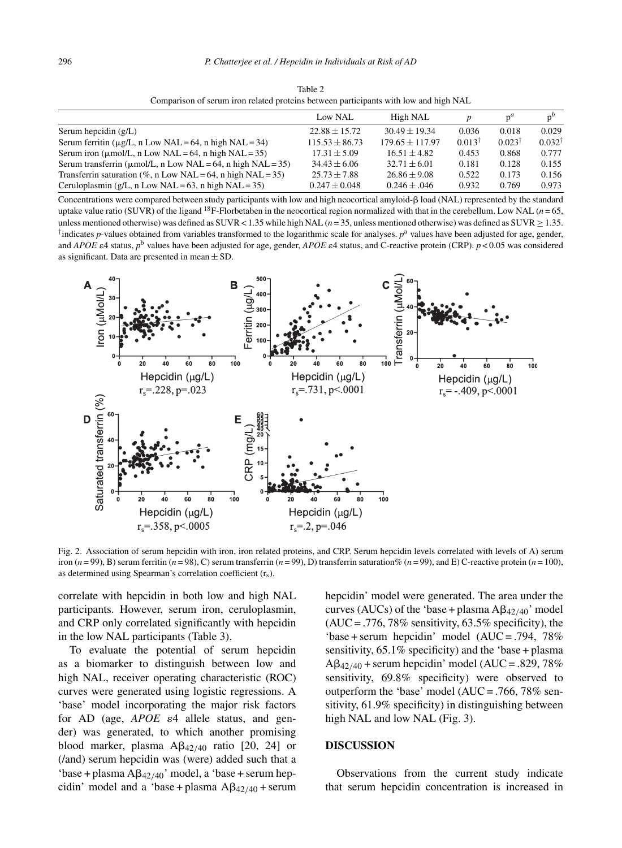| Comparison of serum from related proteins between participants with low and high NAL |                    |                   |                   |                   |                   |  |  |  |
|--------------------------------------------------------------------------------------|--------------------|-------------------|-------------------|-------------------|-------------------|--|--|--|
|                                                                                      | Low NAL            | High NAL          |                   | $p^u$             |                   |  |  |  |
| Serum hepcidin $(g/L)$                                                               | $22.88 + 15.72$    | $30.49 \pm 19.34$ | 0.036             | 0.018             | 0.029             |  |  |  |
| Serum ferritin ( $\mu$ g/L, n Low NAL = 64, n high NAL = 34)                         | $115.53 \pm 86.73$ | $179.65 + 117.97$ | $0.013^{\dagger}$ | $0.023^{\dagger}$ | $0.032^{\dagger}$ |  |  |  |
| Serum iron ( $\mu$ mol/L, n Low NAL = 64, n high NAL = 35)                           | $17.31 \pm 5.09$   | $16.51 \pm 4.82$  | 0.453             | 0.868             | 0.777             |  |  |  |
| Serum transferrin ( $\mu$ mol/L, n Low NAL = 64, n high NAL = 35)                    | $34.43 \pm 6.06$   | $32.71 \pm 6.01$  | 0.181             | 0.128             | 0.155             |  |  |  |
| Transferrin saturation (%, n Low NAL = 64, n high NAL = 35)                          | $25.73 \pm 7.88$   | $26.86 \pm 9.08$  | 0.522             | 0.173             | 0.156             |  |  |  |
| Ceruloplasmin (g/L, n Low NAL = 63, n high NAL = 35)                                 | $0.247 \pm 0.048$  | $0.246 \pm .046$  | 0.932             | 0.769             | 0.973             |  |  |  |

Table 2 Comparison of serum iron related proteins between participants with low and high NAL

Concentrations were compared between study participants with low and high neocortical amyloid- $\beta$  load (NAL) represented by the standard uptake value ratio (SUVR) of the ligand <sup>18</sup>F-Florbetaben in the neocortical region normalized with that in the cerebellum. Low NAL ( $n = 65$ , unless mentioned otherwise) was defined as SUVR < 1.35 while high NAL (*n* = 35, unless mentioned otherwise) was defined as SUVR ≥ 1.35. <sup>†</sup>indicates *p*-values obtained from variables transformed to the logarithmic scale for analyses.  $p<sup>a</sup>$  values have been adjusted for age, gender, and *APOE*  $\varepsilon$ 4 status,  $p^b$  values have been adjusted for age, gender, *APOE*  $\varepsilon$ 4 status, and C-reactive protein (CRP).  $p$  < 0.05 was considered as significant. Data are presented in mean  $\pm$  SD.



Fig. 2. Association of serum hepcidin with iron, iron related proteins, and CRP. Serum hepcidin levels correlated with levels of A) serum iron  $(n = 99)$ , B) serum ferritin  $(n = 98)$ , C) serum transferrin  $(n = 99)$ , D) transferrin saturation%  $(n = 99)$ , and E) C-reactive protein  $(n = 100)$ , as determined using Spearman's correlation coefficient  $(r<sub>s</sub>)$ .

correlate with hepcidin in both low and high NAL participants. However, serum iron, ceruloplasmin, and CRP only correlated significantly with hepcidin in the low NAL participants (Table 3).

To evaluate the potential of serum hepcidin as a biomarker to distinguish between low and high NAL, receiver operating characteristic (ROC) curves were generated using logistic regressions. A 'base' model incorporating the major risk factors for AD (age,  $APOE$   $\varepsilon$ 4 allele status, and gender) was generated, to which another promising blood marker, plasma  $A\beta_{42/40}$  ratio [20, 24] or (/and) serum hepcidin was (were) added such that a 'base + plasma  $A\beta_{42/40}$ ' model, a 'base + serum hepcidin' model and a 'base + plasma  $A\beta_{42/40}$  + serum

hepcidin' model were generated. The area under the curves (AUCs) of the 'base + plasma  $A\beta_{42/40}$ ' model  $(AUC = .776, 78\%$  sensitivity, 63.5% specificity), the 'base + serum hepcidin' model (AUC = .794, 78% sensitivity, 65.1% specificity) and the 'base + plasma  $A\beta_{42/40}$  + serum hepcidin' model (AUC = .829, 78% sensitivity, 69.8% specificity) were observed to outperform the 'base' model (AUC = .766, 78% sensitivity, 61.9% specificity) in distinguishing between high NAL and low NAL (Fig. 3).

#### **DISCUSSION**

Observations from the current study indicate that serum hepcidin concentration is increased in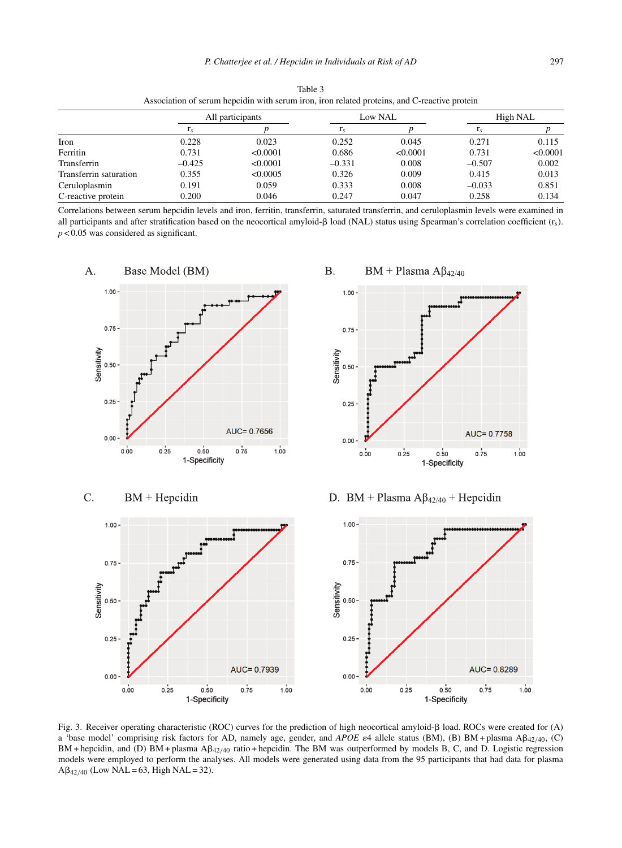| Association of setuin neperum with setuin from, from related proteins, and C-reactive protein |                   |          |          |          |                   |          |  |  |  |
|-----------------------------------------------------------------------------------------------|-------------------|----------|----------|----------|-------------------|----------|--|--|--|
|                                                                                               | All participants  |          | Low NAL  |          | High NAL          |          |  |  |  |
|                                                                                               | $1_{\mathcal{S}}$ |          | $r_s$    |          | $1_{\mathcal{S}}$ |          |  |  |  |
| Iron                                                                                          | 0.228             | 0.023    | 0.252    | 0.045    | 0.271             | 0.115    |  |  |  |
| Ferritin                                                                                      | 0.731             | < 0.0001 | 0.686    | < 0.0001 | 0.731             | < 0.0001 |  |  |  |
| Transferrin                                                                                   | $-0.425$          | < 0.0001 | $-0.331$ | 0.008    | $-0.507$          | 0.002    |  |  |  |
| Transferrin saturation                                                                        | 0.355             | < 0.0005 | 0.326    | 0.009    | 0.415             | 0.013    |  |  |  |
| Ceruloplasmin                                                                                 | 0.191             | 0.059    | 0.333    | 0.008    | $-0.033$          | 0.851    |  |  |  |
| C-reactive protein                                                                            | 0.200             | 0.046    | 0.247    | 0.047    | 0.258             | 0.134    |  |  |  |

Table 3  $\alpha$  as the series of serves iron related proteins, and C-reactive proteins

Correlations between serum hepcidin levels and iron, ferritin, transferrin, saturated transferrin, and ceruloplasmin levels were examined in all participants and after stratification based on the neocortical amyloid- $\beta$  load (NAL) status using Spearman's correlation coefficient ( $r_s$ ). *p* < 0.05 was considered as significant.



**B.**  $BM + Plasma AB_{42/40}$ 





D. BM + Plasma  $A\beta_{42/40}$  + Hepcidin



Fig. 3. Receiver operating characteristic (ROC) curves for the prediction of high neocortical amyloid- $\beta$  load. ROCs were created for (A) a 'base model' comprising risk factors for AD, namely age, gender, and  $APOE$  e4 allele status (BM), (B) BM + plasma  $\mathbb{A}\beta_{42/40}$ , (C) BM + hepcidin, and (D) BM + plasma A $\beta_{42/40}$  ratio + hepcidin. The BM was outperformed by models B, C, and D. Logistic regression models were employed to perform the analyses. All models were generated using data from the 95 participants that had data for plasma  $A\beta_{42/40}$  (Low NAL = 63, High NAL = 32).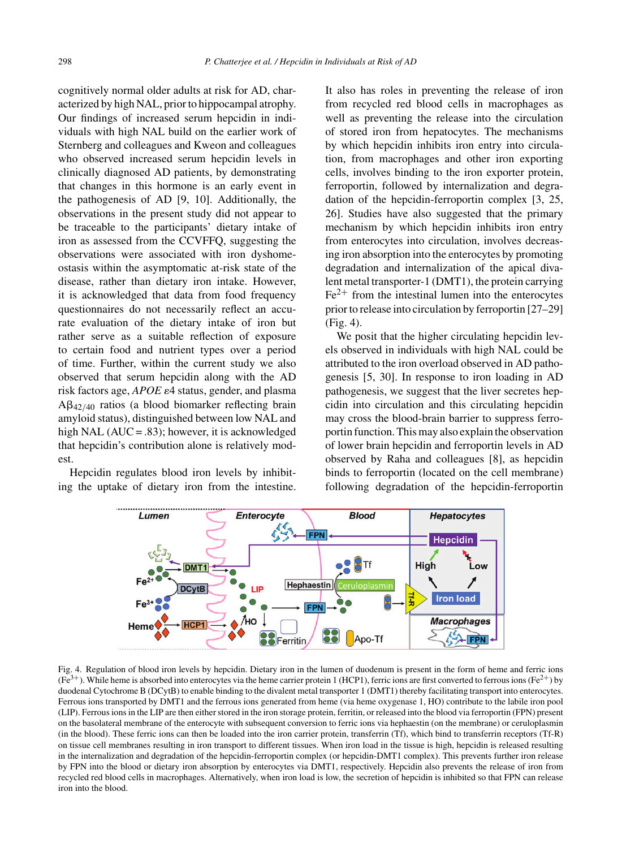cognitively normal older adults at risk for AD, characterized by high NAL, prior to hippocampal atrophy. Our findings of increased serum hepcidin in individuals with high NAL build on the earlier work of Sternberg and colleagues and Kweon and colleagues who observed increased serum hepcidin levels in clinically diagnosed AD patients, by demonstrating that changes in this hormone is an early event in the pathogenesis of AD [9, 10]. Additionally, the observations in the present study did not appear to be traceable to the participants' dietary intake of iron as assessed from the CCVFFQ, suggesting the observations were associated with iron dyshomeostasis within the asymptomatic at-risk state of the disease, rather than dietary iron intake. However, it is acknowledged that data from food frequency questionnaires do not necessarily reflect an accurate evaluation of the dietary intake of iron but rather serve as a suitable reflection of exposure to certain food and nutrient types over a period of time. Further, within the current study we also observed that serum hepcidin along with the AD risk factors age,  $APOE \varepsilon4$  status, gender, and plasma  $AB_{42/40}$  ratios (a blood biomarker reflecting brain amyloid status), distinguished between low NAL and high NAL (AUC = .83); however, it is acknowledged that hepcidin's contribution alone is relatively modest.

Hepcidin regulates blood iron levels by inhibiting the uptake of dietary iron from the intestine.

It also has roles in preventing the release of iron from recycled red blood cells in macrophages as well as preventing the release into the circulation of stored iron from hepatocytes. The mechanisms by which hepcidin inhibits iron entry into circulation, from macrophages and other iron exporting cells, involves binding to the iron exporter protein, ferroportin, followed by internalization and degradation of the hepcidin-ferroportin complex [3, 25, 26]. Studies have also suggested that the primary mechanism by which hepcidin inhibits iron entry from enterocytes into circulation, involves decreasing iron absorption into the enterocytes by promoting degradation and internalization of the apical divalent metal transporter-1 (DMT1), the protein carrying  $Fe<sup>2+</sup>$  from the intestinal lumen into the enterocytes prior to release into circulation by ferroportin [27–29] (Fig. 4).

We posit that the higher circulating hepcidin levels observed in individuals with high NAL could be attributed to the iron overload observed in AD pathogenesis [5, 30]. In response to iron loading in AD pathogenesis, we suggest that the liver secretes hepcidin into circulation and this circulating hepcidin may cross the blood-brain barrier to suppress ferroportin function. This may also explain the observation of lower brain hepcidin and ferroportin levels in AD observed by Raha and colleagues [8], as hepcidin binds to ferroportin (located on the cell membrane) following degradation of the hepcidin-ferroportin



Fig. 4. Regulation of blood iron levels by hepcidin. Dietary iron in the lumen of duodenum is present in the form of heme and ferric ions (Fe<sup>3+</sup>). While heme is absorbed into enterocytes via the heme carrier protein 1 (HCP1), ferric ions are first converted to ferrous ions (Fe<sup>2+</sup>) by duodenal Cytochrome B (DCytB) to enable binding to the divalent metal transporter 1 (DMT1) thereby facilitating transport into enterocytes. Ferrous ions transported by DMT1 and the ferrous ions generated from heme (via heme oxygenase 1, HO) contribute to the labile iron pool (LIP). Ferrous ions in the LIP are then either stored in the iron storage protein, ferritin, or released into the blood via ferroportin (FPN) present on the basolateral membrane of the enterocyte with subsequent conversion to ferric ions via hephaestin (on the membrane) or ceruloplasmin (in the blood). These ferric ions can then be loaded into the iron carrier protein, transferrin (Tf), which bind to transferrin receptors (Tf-R) on tissue cell membranes resulting in iron transport to different tissues. When iron load in the tissue is high, hepcidin is released resulting in the internalization and degradation of the hepcidin-ferroportin complex (or hepcidin-DMT1 complex). This prevents further iron release by FPN into the blood or dietary iron absorption by enterocytes via DMT1, respectively. Hepcidin also prevents the release of iron from recycled red blood cells in macrophages. Alternatively, when iron load is low, the secretion of hepcidin is inhibited so that FPN can release iron into the blood.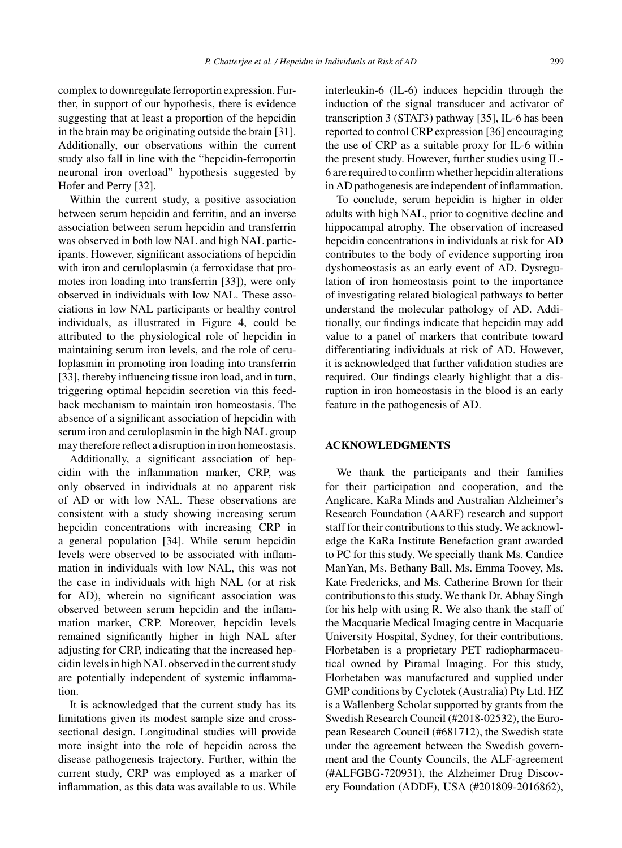*P. Chatterjee et al. / Hepcidin in Individuals at Risk of AD* 299

complex to downregulate ferroportin expression. Further, in support of our hypothesis, there is evidence suggesting that at least a proportion of the hepcidin in the brain may be originating outside the brain [31]. Additionally, our observations within the current study also fall in line with the "hepcidin-ferroportin neuronal iron overload" hypothesis suggested by Hofer and Perry [32].

Within the current study, a positive association between serum hepcidin and ferritin, and an inverse association between serum hepcidin and transferrin was observed in both low NAL and high NAL participants. However, significant associations of hepcidin with iron and ceruloplasmin (a ferroxidase that promotes iron loading into transferrin [33]), were only observed in individuals with low NAL. These associations in low NAL participants or healthy control individuals, as illustrated in Figure 4, could be attributed to the physiological role of hepcidin in maintaining serum iron levels, and the role of ceruloplasmin in promoting iron loading into transferrin [33], thereby influencing tissue iron load, and in turn, triggering optimal hepcidin secretion via this feedback mechanism to maintain iron homeostasis. The absence of a significant association of hepcidin with serum iron and ceruloplasmin in the high NAL group may therefore reflect a disruption in iron homeostasis.

Additionally, a significant association of hepcidin with the inflammation marker, CRP, was only observed in individuals at no apparent risk of AD or with low NAL. These observations are consistent with a study showing increasing serum hepcidin concentrations with increasing CRP in a general population [34]. While serum hepcidin levels were observed to be associated with inflammation in individuals with low NAL, this was not the case in individuals with high NAL (or at risk for AD), wherein no significant association was observed between serum hepcidin and the inflammation marker, CRP. Moreover, hepcidin levels remained significantly higher in high NAL after adjusting for CRP, indicating that the increased hepcidin levels in high NAL observed in the current study are potentially independent of systemic inflammation.

It is acknowledged that the current study has its limitations given its modest sample size and crosssectional design. Longitudinal studies will provide more insight into the role of hepcidin across the disease pathogenesis trajectory. Further, within the current study, CRP was employed as a marker of inflammation, as this data was available to us. While

interleukin-6 (IL-6) induces hepcidin through the induction of the signal transducer and activator of transcription 3 (STAT3) pathway [35], IL-6 has been reported to control CRP expression [36] encouraging the use of CRP as a suitable proxy for IL-6 within the present study. However, further studies using IL-6 are required to confirm whether hepcidin alterations in AD pathogenesis are independent of inflammation.

To conclude, serum hepcidin is higher in older adults with high NAL, prior to cognitive decline and hippocampal atrophy. The observation of increased hepcidin concentrations in individuals at risk for AD contributes to the body of evidence supporting iron dyshomeostasis as an early event of AD. Dysregulation of iron homeostasis point to the importance of investigating related biological pathways to better understand the molecular pathology of AD. Additionally, our findings indicate that hepcidin may add value to a panel of markers that contribute toward differentiating individuals at risk of AD. However, it is acknowledged that further validation studies are required. Our findings clearly highlight that a disruption in iron homeostasis in the blood is an early feature in the pathogenesis of AD.

#### **ACKNOWLEDGMENTS**

We thank the participants and their families for their participation and cooperation, and the Anglicare, KaRa Minds and Australian Alzheimer's Research Foundation (AARF) research and support staff for their contributions to this study. We acknowledge the KaRa Institute Benefaction grant awarded to PC for this study. We specially thank Ms. Candice ManYan, Ms. Bethany Ball, Ms. Emma Toovey, Ms. Kate Fredericks, and Ms. Catherine Brown for their contributions to this study. We thank Dr. Abhay Singh for his help with using R. We also thank the staff of the Macquarie Medical Imaging centre in Macquarie University Hospital, Sydney, for their contributions. Florbetaben is a proprietary PET radiopharmaceutical owned by Piramal Imaging. For this study, Florbetaben was manufactured and supplied under GMP conditions by Cyclotek (Australia) Pty Ltd. HZ is a Wallenberg Scholar supported by grants from the Swedish Research Council (#2018-02532), the European Research Council (#681712), the Swedish state under the agreement between the Swedish government and the County Councils, the ALF-agreement (#ALFGBG-720931), the Alzheimer Drug Discovery Foundation (ADDF), USA (#201809-2016862),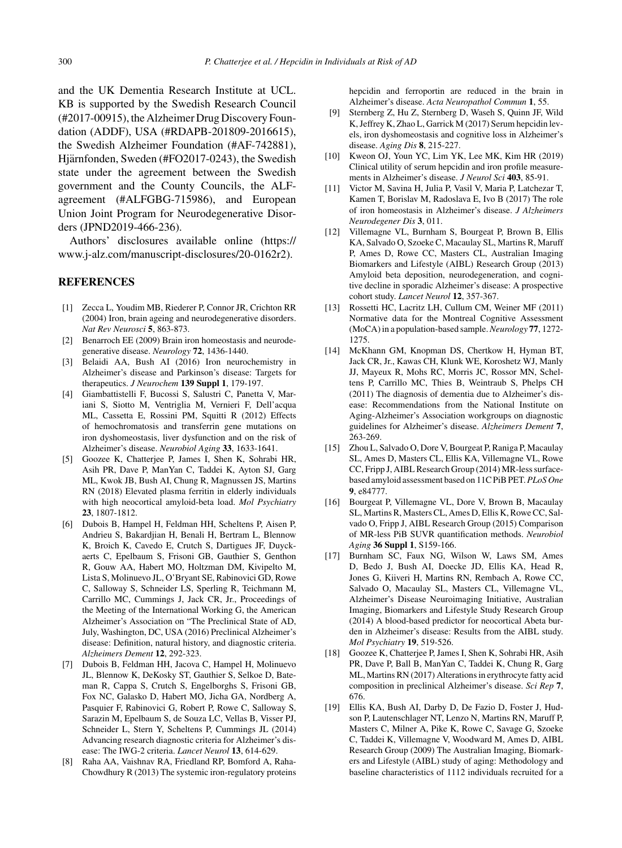and the UK Dementia Research Institute at UCL. KB is supported by the Swedish Research Council (#2017-00915), the Alzheimer Drug Discovery Foundation (ADDF), USA (#RDAPB-201809-2016615), the Swedish Alzheimer Foundation (#AF-742881), Hjärnfonden, Sweden (#FO2017-0243), the Swedish state under the agreement between the Swedish government and the County Councils, the ALFagreement (#ALFGBG-715986), and European Union Joint Program for Neurodegenerative Disorders (JPND2019-466-236).

Authors' disclosures available online ([https://](https://www.j-alz.com/manuscript-disclosures/20-0162r2) [www.j-alz.com/manuscript-disclosures/20-0162r2\)](https://www.j-alz.com/manuscript-disclosures/20-0162r2).

#### **REFERENCES**

- [1] Zecca L, Youdim MB, Riederer P, Connor JR, Crichton RR (2004) Iron, brain ageing and neurodegenerative disorders. *Nat Rev Neurosci* **5**, 863-873.
- [2] Benarroch EE (2009) Brain iron homeostasis and neurodegenerative disease. *Neurology* **72**, 1436-1440.
- [3] Belaidi AA, Bush AI (2016) Iron neurochemistry in Alzheimer's disease and Parkinson's disease: Targets for therapeutics. *J Neurochem* **139 Suppl 1**, 179-197.
- [4] Giambattistelli F, Bucossi S, Salustri C, Panetta V, Mariani S, Siotto M, Ventriglia M, Vernieri F, Dell'acqua ML, Cassetta E, Rossini PM, Squitti R (2012) Effects of hemochromatosis and transferrin gene mutations on iron dyshomeostasis, liver dysfunction and on the risk of Alzheimer's disease. *Neurobiol Aging* **33**, 1633-1641.
- [5] Goozee K, Chatterjee P, James I, Shen K, Sohrabi HR, Asih PR, Dave P, ManYan C, Taddei K, Ayton SJ, Garg ML, Kwok JB, Bush AI, Chung R, Magnussen JS, Martins RN (2018) Elevated plasma ferritin in elderly individuals with high neocortical amyloid-beta load. *Mol Psychiatry* **23**, 1807-1812.
- [6] Dubois B, Hampel H, Feldman HH, Scheltens P, Aisen P, Andrieu S, Bakardjian H, Benali H, Bertram L, Blennow K, Broich K, Cavedo E, Crutch S, Dartigues JF, Duyckaerts C, Epelbaum S, Frisoni GB, Gauthier S, Genthon R, Gouw AA, Habert MO, Holtzman DM, Kivipelto M, Lista S, Molinuevo JL, O'Bryant SE, Rabinovici GD, Rowe C, Salloway S, Schneider LS, Sperling R, Teichmann M, Carrillo MC, Cummings J, Jack CR, Jr., Proceedings of the Meeting of the International Working G, the American Alzheimer's Association on "The Preclinical State of AD, July, Washington, DC, USA (2016) Preclinical Alzheimer's disease: Definition, natural history, and diagnostic criteria. *Alzheimers Dement* **12**, 292-323.
- [7] Dubois B, Feldman HH, Jacova C, Hampel H, Molinuevo JL, Blennow K, DeKosky ST, Gauthier S, Selkoe D, Bateman R, Cappa S, Crutch S, Engelborghs S, Frisoni GB, Fox NC, Galasko D, Habert MO, Jicha GA, Nordberg A, Pasquier F, Rabinovici G, Robert P, Rowe C, Salloway S, Sarazin M, Epelbaum S, de Souza LC, Vellas B, Visser PJ, Schneider L, Stern Y, Scheltens P, Cummings JL (2014) Advancing research diagnostic criteria for Alzheimer's disease: The IWG-2 criteria. *Lancet Neurol* **13**, 614-629.
- [8] Raha AA, Vaishnav RA, Friedland RP, Bomford A, Raha-Chowdhury R (2013) The systemic iron-regulatory proteins

hepcidin and ferroportin are reduced in the brain in Alzheimer's disease. *Acta Neuropathol Commun* **1**, 55.

- [9] Sternberg Z, Hu Z, Sternberg D, Waseh S, Quinn JF, Wild K, Jeffrey K, Zhao L, Garrick M (2017) Serum hepcidin levels, iron dyshomeostasis and cognitive loss in Alzheimer's disease. *Aging Dis* **8**, 215-227.
- [10] Kweon OJ, Youn YC, Lim YK, Lee MK, Kim HR (2019) Clinical utility of serum hepcidin and iron profile measurements in Alzheimer's disease. *J Neurol Sci* **403**, 85-91.
- [11] Victor M, Savina H, Julia P, Vasil V, Maria P, Latchezar T, Kamen T, Borislav M, Radoslava E, Ivo B (2017) The role of iron homeostasis in Alzheimer's disease. *J Alzheimers Neurodegener Dis* **3**, 011.
- [12] Villemagne VL, Burnham S, Bourgeat P, Brown B, Ellis KA, Salvado O, Szoeke C, Macaulay SL, Martins R, Maruff P, Ames D, Rowe CC, Masters CL, Australian Imaging Biomarkers and Lifestyle (AIBL) Research Group (2013) Amyloid beta deposition, neurodegeneration, and cognitive decline in sporadic Alzheimer's disease: A prospective cohort study. *Lancet Neurol* **12**, 357-367.
- [13] Rossetti HC, Lacritz LH, Cullum CM, Weiner MF (2011) Normative data for the Montreal Cognitive Assessment (MoCA) in a population-based sample.*Neurology* **77**, 1272- 1275.
- [14] McKhann GM, Knopman DS, Chertkow H, Hyman BT, Jack CR, Jr., Kawas CH, Klunk WE, Koroshetz WJ, Manly JJ, Mayeux R, Mohs RC, Morris JC, Rossor MN, Scheltens P, Carrillo MC, Thies B, Weintraub S, Phelps CH (2011) The diagnosis of dementia due to Alzheimer's disease: Recommendations from the National Institute on Aging-Alzheimer's Association workgroups on diagnostic guidelines for Alzheimer's disease. *Alzheimers Dement* **7**, 263-269.
- [15] Zhou L, Salvado O, Dore V, Bourgeat P, Raniga P, Macaulay SL, Ames D, Masters CL, Ellis KA, Villemagne VL, Rowe CC, Fripp J, AIBL Research Group (2014) MR-less surfacebased amyloid assessment based on 11C PiB PET.*PLoS One* **9**, e84777.
- [16] Bourgeat P, Villemagne VL, Dore V, Brown B, Macaulay SL, Martins R, Masters CL, Ames D, Ellis K, Rowe CC, Salvado O, Fripp J, AIBL Research Group (2015) Comparison of MR-less PiB SUVR quantification methods. *Neurobiol Aging* **36 Suppl 1**, S159-166.
- [17] Burnham SC, Faux NG, Wilson W, Laws SM, Ames D, Bedo J, Bush AI, Doecke JD, Ellis KA, Head R, Jones G, Kiiveri H, Martins RN, Rembach A, Rowe CC, Salvado O, Macaulay SL, Masters CL, Villemagne VL, Alzheimer's Disease Neuroimaging Initiative, Australian Imaging, Biomarkers and Lifestyle Study Research Group (2014) A blood-based predictor for neocortical Abeta burden in Alzheimer's disease: Results from the AIBL study. *Mol Psychiatry* **19**, 519-526.
- [18] Goozee K, Chatterjee P, James I, Shen K, Sohrabi HR, Asih PR, Dave P, Ball B, ManYan C, Taddei K, Chung R, Garg ML, Martins RN (2017) Alterations in erythrocyte fatty acid composition in preclinical Alzheimer's disease. *Sci Rep* **7**, 676.
- [19] Ellis KA, Bush AI, Darby D, De Fazio D, Foster J, Hudson P, Lautenschlager NT, Lenzo N, Martins RN, Maruff P, Masters C, Milner A, Pike K, Rowe C, Savage G, Szoeke C, Taddei K, Villemagne V, Woodward M, Ames D, AIBL Research Group (2009) The Australian Imaging, Biomarkers and Lifestyle (AIBL) study of aging: Methodology and baseline characteristics of 1112 individuals recruited for a